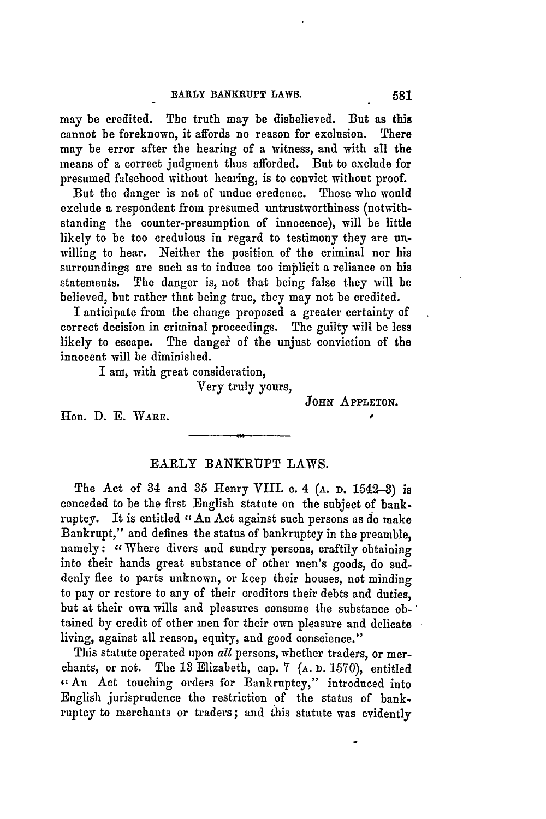may be credited. The truth may be disbelieved. But as this cannot be foreknown, it affords no reason for exclusion. There may be error after the hearing of a witness, and with all the means of a correct judgment thus afforded. But to exclude for presumed falsehood without hearing, is to convict without proof.

But the danger is not of undue credence. Those who would exclude a respondent from presumed untrustworthiness (notwithstanding the counter-presumption of innocence), will be little likely to **be** too credulous in regard to testimony they are unwilling to hear. Neither the position of the criminal nor his surroundings are such as to induce too implicit a reliance on his statements. The danger is, not that being false they will be believed, but rather that being true, they may not be credited.

I anticipate from the change proposed a greater certainty of correct decision in criminal proceedings. The guilty will be less likely to escape. The danger of the unjust conviction of the innocent will be diminished.

I am, with **great** consideration,

Very truly yours,

**JOHN APPLETON.**

Hon. D. E. WARE.

## EARLY BANKRUPT LAWS.

The Act of 34 and **35** Henry VIII. **c.** 4 **(A. D.** 1542-3) is conceded to be the first English statute on the subject of bankruptcy. It is entitled " An Act against such persons as do make Bankrupt," and defines the status of bankruptcy in the preamble, namely: "Where divers and sundry persons, craftily obtaining into their hands great substance of other men's goods, do suddenly flee to parts unknown, or keep their houses, not minding to pay or restore to any of their creditors their debts and duties, but at their own wills and pleasures consume the substance obtained **by** credit of other men for their own pleasure and delicate living, against all reason, equity, and good conscience."

This statute operated upon *all* persons, whether traders, or merchants, or not. The **13** Elizabeth, cap. **7 (A. D. 1570),** entitled **-An** Act touching orders for Bankruptcy," introduced into English jurisprudence the restriction of the status of bankruptcy to merchants or traders; and this statute was evidently